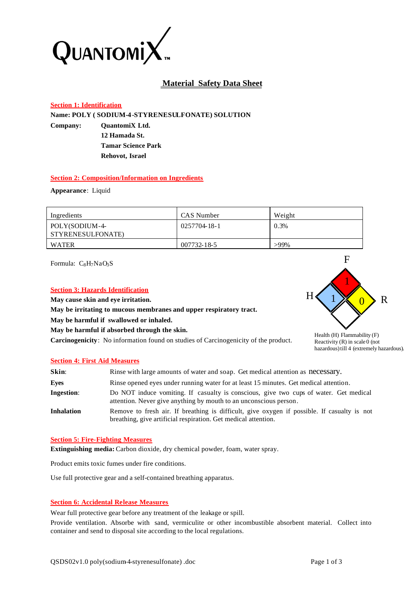

# **Material Safety Data Sheet**

# **Section 1: Identification**

**Name: POLY ( SODIUM-4-STYRENESULFONATE) SOLUTION**

**Company: QuantomiX Ltd. 12 Hamada St.**

**Tamar Science Park Rehovot, Israel**

## **Section 2: Composition/Information on Ingredients**

**Appearance**: Liquid

| Ingredients                         | CAS Number   | Weight  |
|-------------------------------------|--------------|---------|
| POLY(SODIUM-4-<br>STYRENESULFONATE) | 0257704-18-1 | 0.3%    |
| WATER                               | 007732-18-5  | $>99\%$ |

Formula:  $C_8H_7NaO_3S$ 

## **Section 3: Hazards Identification**

**May cause skin and eye irritation.**

**May be irritating to mucous membranes and upper respiratory tract.** 

**May be harmful if swallowed or inhaled.**

**May be harmful if absorbed through the skin.**

**Carcinogenicity**: No information found on studies of Carcinogenicity of the product.



Health (H) Flammability (F) Reactivity  $(R)$  in scale 0 (not hazardous) till 4 (extremely hazardous).

## **Section 4: First Aid Measures**

| Skin:             | Rinse with large amounts of water and soap. Get medical attention as necessary.                                                                               |
|-------------------|---------------------------------------------------------------------------------------------------------------------------------------------------------------|
| Eyes              | Rinse opened eyes under running water for at least 15 minutes. Get medical attention.                                                                         |
| <b>Ingestion:</b> | Do NOT induce vomiting. If casualty is conscious, give two cups of water. Get medical<br>attention. Never give anything by mouth to an unconscious person.    |
| <b>Inhalation</b> | Remove to fresh air. If breathing is difficult, give oxygen if possible. If casualty is not<br>breathing, give artificial respiration. Get medical attention. |

## **Section 5: Fire-Fighting Measures**

**Extinguishing media:** Carbon dioxide, dry chemical powder, foam, water spray.

Product emits toxic fumes under fire conditions.

Use full protective gear and a self-contained breathing apparatus.

## **Section 6: Accidental Release Measures**

Wear full protective gear before any treatment of the leakage or spill.

Provide ventilation. Absorbe with sand, vermiculite or other incombustible absorbent material. Collect into container and send to disposal site according to the local regulations.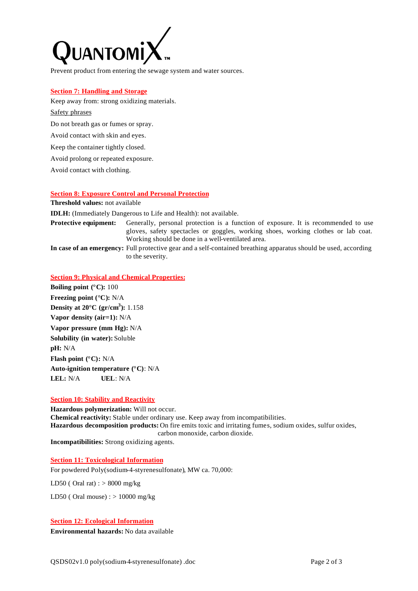

Prevent product from entering the sewage system and water sources.

#### **Section 7: Handling and Storage**

Keep away from: strong oxidizing materials.

# Safety phrases

Do not breath gas or fumes or spray.

Avoid contact with skin and eyes.

Keep the container tightly closed.

Avoid prolong or repeated exposure.

Avoid contact with clothing.

## **Section 8: Exposure Control and Personal Protection**

**Threshold values:** not available

**IDLH:** (Immediately Dangerous to Life and Health): not available.

**Protective equipment:** Generally, personal protection is a function of exposure. It is recommended to use gloves, safety spectacles or goggles, working shoes, working clothes or lab coat. Working should be done in a well-ventilated area.

**In case of an emergency:** Full protective gear and a self-contained breathing apparatus should be used, according to the severity.

## **Section 9: Physical and Chemical Properties:**

**Boiling point (°C):** 100 **Freezing point (°C):** N/A **Density at 20°C (gr/cm<sup>3</sup> ):** 1.158 **Vapor density (air=1):** N/A **Vapor pressure (mm Hg):** N/A **Solubility (in water):** Soluble **pH:** N/A **Flash point (°C):** N/A **Auto-ignition temperature (°C)**: N/A **LEL:** N/A **UEL**: N/A

## **Section 10: Stability and Reactivity**

**Hazardous polymerization:** Will not occur. **Chemical reactivity:** Stable under ordinary use. Keep away from incompatibilities. **Hazardous decomposition products:** On fire emits toxic and irritating fumes, sodium oxides, sulfur oxides, carbon monoxide, carbon dioxide. **Incompatibilities:** Strong oxidizing agents.

**Section 11: Toxicological Information**

For powdered Poly(sodium-4-styrenesulfonate), MW ca. 70,000:

LD50 (Oral rat) :  $> 8000$  mg/kg

LD50 (Oral mouse) :  $> 10000$  mg/kg

## **Section 12: Ecological Information**

**Environmental hazards:** No data available